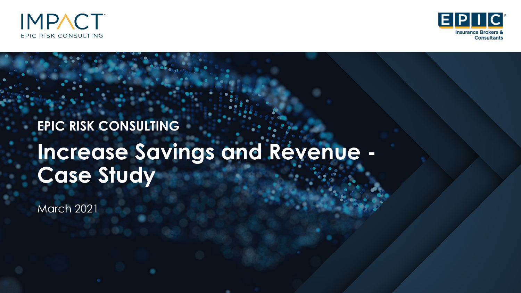



# **Increase Savings and Revenue - Case Study EPIC RISK CONSULTING**

March 2021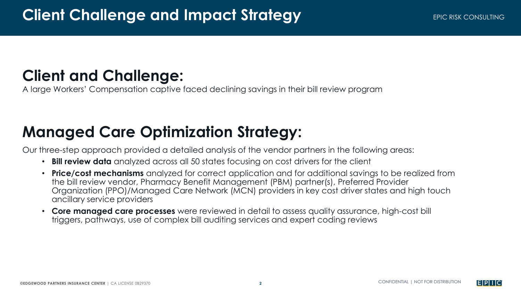# **Client and Challenge:**

A large Workers' Compensation captive faced declining savings in their bill review program

# **Managed Care Optimization Strategy:**

Our three-step approach provided a detailed analysis of the vendor partners in the following areas:

- **Bill review data** analyzed across all 50 states focusing on cost drivers for the client
- **Price/cost mechanisms** analyzed for correct application and for additional savings to be realized from the bill review vendor, Pharmacy Benefit Management (PBM) partner(s), Preferred Provider Organization (PPO)/Managed Care Network (MCN) providers in key cost driver states and high touch ancillary service providers
- **Core managed care processes** were reviewed in detail to assess quality assurance, high-cost bill triggers, pathways, use of complex bill auditing services and expert coding reviews